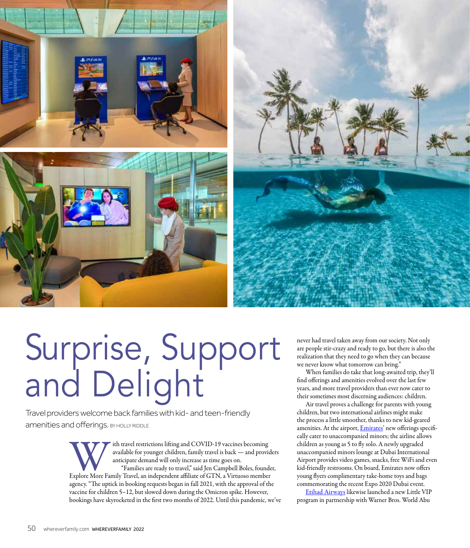

## Surprise, Support and Delight

Travel providers welcome back families with kid- and teen-friendly amenities and offerings. BY HOLLY RIDDLE

> It is the travel restrictions lifting and COVID-19 vaccines becoming<br>available for younger children, family travel is back — and provid<br>anticipate demand will only increase as time goes on.<br>"Families are ready to travel," available for younger children, family travel is back — and providers anticipate demand will only increase as time goes on. "Families are ready to travel," said Jen Campbell Boles, founder,

agency. "The uptick in booking requests began in fall 2021, with the approval of the vaccine for children 5–12, but slowed down during the Omicron spike. However, bookings have skyrocketed in the first two months of 2022. Until this pandemic, we've never had travel taken away from our society. Not only are people stir-crazy and ready to go, but there is also the realization that they need to go when they can because we never know what tomorrow can bring."

When families do take that long-awaited trip, they'll find offerings and amenities evolved over the last few years, and more travel providers than ever now cater to their sometimes most discerning audiences: children.

Air travel proves a challenge for parents with young children, but two international airlines might make the process a little smoother, thanks to new kid-geared amenities. At the airport, *Emirates*' new offerings specifically cater to unaccompanied minors; the airline allows children as young as 5 to fly solo. A newly upgraded unaccompanied minors lounge at Dubai International Airport provides video games, snacks, free WiFi and even kid-friendly restrooms. On board, Emirates now offers young flyers complimentary take-home toys and bags commemorating the recent Expo 2020 Dubai event.

Etihad Airways likewise launched a new Little VIP program in partnership with Warner Bros. World Abu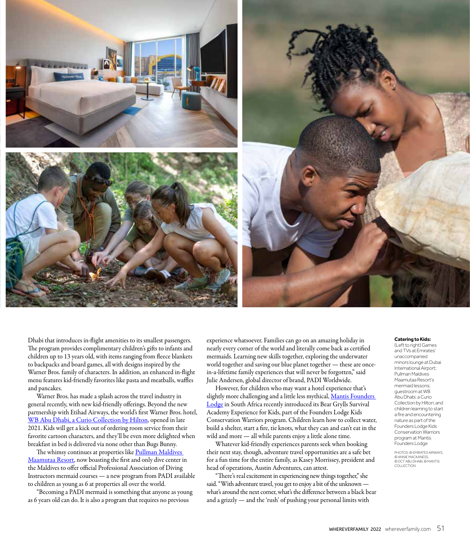

Dhabi that introduces in-flight amenities to its smallest passengers. The program provides complimentary children's gifts to infants and children up to 13 years old, with items ranging from fleece blankets to backpacks and board games, all with designs inspired by the Warner Bros. family of characters. In addition, an enhanced in-flight menu features kid-friendly favorites like pasta and meatballs, waffles and pancakes.

Warner Bros. has made a splash across the travel industry in general recently, with new kid-friendly offerings. Beyond the new partnership with Etihad Airways, the world's first Warner Bros. hotel, WB Abu Dhabi, a Curio Collection by Hilton, opened in late 2021. Kids will get a kick out of ordering room service from their favorite cartoon characters, and they'll be even more delighted when breakfast in bed is delivered via none other than Bugs Bunny.

The whimsy continues at properties like Pullman Maldives Maamutaa Resort, now boasting the first and only dive center in the Maldives to offer official Professional Association of Diving Instructors mermaid courses — a new program from PADI available to children as young as 6 at properties all over the world.

"Becoming a PADI mermaid is something that anyone as young as 6 years old can do. It is also a program that requires no previous

experience whatsoever. Families can go on an amazing holiday in nearly every corner of the world and literally come back as certified mermaids. Learning new skills together, exploring the underwater world together and saving our blue planet together — these are oncein-a-lifetime family experiences that will never be forgotten," said Julie Andersen, global director of brand, PADI Worldwide.

However, for children who may want a hotel experience that's slightly more challenging and a little less mythical, Mantis Founders Lodge in South Africa recently introduced its Bear Grylls Survival Academy Experience for Kids, part of the Founders Lodge Kids Conservation Warriors program. Children learn how to collect water, build a shelter, start a fire, tie knots, what they can and can't eat in the wild and more — all while parents enjoy a little alone time.

Whatever kid-friendly experiences parents seek when booking their next stay, though, adventure travel opportunities are a safe bet for a fun time for the entire family, as Kasey Morrissey, president and head of operations, Austin Adventures, can attest.

"There's real excitement in experiencing new things together," she said. "With adventure travel, you get to enjoy a bit of the unknown what's around the next corner, what's the difference between a black bear and a grizzly — and the 'rush' of pushing your personal limits with

## **Catering to Kids:**

(Left to right) Games and TVs at Emirates' unaccompanied minors lounge at Dubai International Airport; Pullman Maldives Maamutaa Resort's mermaid lessons; guestroom at WB Abu Dhabi, a Curio Collection by Hilton; and children learning to start a fire and encountering nature as part of the Founders Lodge Kids Conservation Warriors program at Mantis Founders Lodge

PHOTOS: © EMIRATES AIRWAYS, © ANNIE MACKANESS, © DCT ABU DHABI, © MANTIS COLLECTION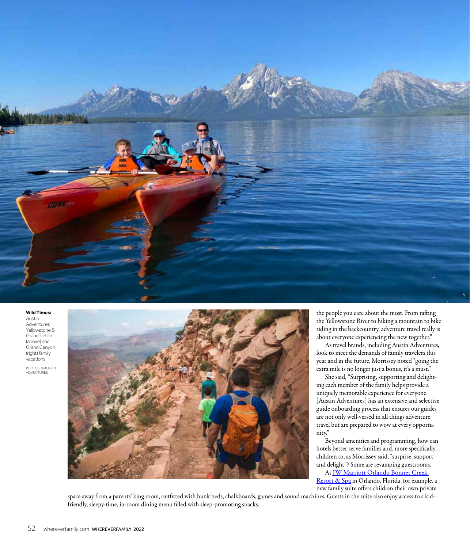

## **Wild Times:**

Austin **Adventures** Yellowstone & Grand Teton (above) and Grand Canyon (right) family vacations

PHOTOS: © AUSTIN ADVENTURES



the people you care about the most. From rafting the Yellowstone River to hiking a mountain to bike riding in the backcountry, adventure travel really is about everyone experiencing the new together."

As travel brands, including Austin Adventures, look to meet the demands of family travelers this year and in the future, Morrissey noted "going the extra mile is no longer just a bonus, it's a must."

She said, "Surprising, supporting and delighting each member of the family helps provide a uniquely memorable experience for everyone. [Austin Adventures] has an extensive and selective guide onboarding process that ensures our guides are not only well-versed in all things adventure travel but are prepared to wow at every opportunity."

Beyond amenities and programming, how can hotels better serve families and, more specifically, children to, as Morrissey said, "surprise, support and delight"? Some are revamping guestrooms.

At JW Marriott Orlando Bonnet Creek Resort & Spa in Orlando, Florida, for example, a new family suite offers children their own private

space away from a parents' king room, outfitted with bunk beds, chalkboards, games and sound machines. Guests in the suite also enjoy access to a kidfriendly, sleepy-time, in-room dining menu filled with sleep-promoting snacks.